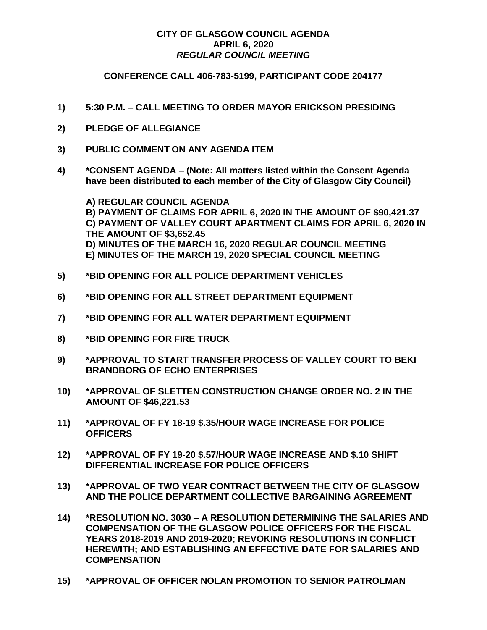## **CITY OF GLASGOW COUNCIL AGENDA APRIL 6, 2020** *REGULAR COUNCIL MEETING*

## **CONFERENCE CALL 406-783-5199, PARTICIPANT CODE 204177**

- **1) 5:30 P.M. – CALL MEETING TO ORDER MAYOR ERICKSON PRESIDING**
- **2) PLEDGE OF ALLEGIANCE**
- **3) PUBLIC COMMENT ON ANY AGENDA ITEM**
- **4) \*CONSENT AGENDA – (Note: All matters listed within the Consent Agenda have been distributed to each member of the City of Glasgow City Council)**

**A) REGULAR COUNCIL AGENDA B) PAYMENT OF CLAIMS FOR APRIL 6, 2020 IN THE AMOUNT OF \$90,421.37 C) PAYMENT OF VALLEY COURT APARTMENT CLAIMS FOR APRIL 6, 2020 IN THE AMOUNT OF \$3,652.45 D) MINUTES OF THE MARCH 16, 2020 REGULAR COUNCIL MEETING E) MINUTES OF THE MARCH 19, 2020 SPECIAL COUNCIL MEETING**

- **5) \*BID OPENING FOR ALL POLICE DEPARTMENT VEHICLES**
- **6) \*BID OPENING FOR ALL STREET DEPARTMENT EQUIPMENT**
- **7) \*BID OPENING FOR ALL WATER DEPARTMENT EQUIPMENT**
- **8) \*BID OPENING FOR FIRE TRUCK**
- **9) \*APPROVAL TO START TRANSFER PROCESS OF VALLEY COURT TO BEKI BRANDBORG OF ECHO ENTERPRISES**
- **10) \*APPROVAL OF SLETTEN CONSTRUCTION CHANGE ORDER NO. 2 IN THE AMOUNT OF \$46,221.53**
- **11) \*APPROVAL OF FY 18-19 \$.35/HOUR WAGE INCREASE FOR POLICE OFFICERS**
- **12) \*APPROVAL OF FY 19-20 \$.57/HOUR WAGE INCREASE AND \$.10 SHIFT DIFFERENTIAL INCREASE FOR POLICE OFFICERS**
- **13) \*APPROVAL OF TWO YEAR CONTRACT BETWEEN THE CITY OF GLASGOW AND THE POLICE DEPARTMENT COLLECTIVE BARGAINING AGREEMENT**
- **14) \*RESOLUTION NO. 3030 – A RESOLUTION DETERMINING THE SALARIES AND COMPENSATION OF THE GLASGOW POLICE OFFICERS FOR THE FISCAL YEARS 2018-2019 AND 2019-2020; REVOKING RESOLUTIONS IN CONFLICT HEREWITH; AND ESTABLISHING AN EFFECTIVE DATE FOR SALARIES AND COMPENSATION**
- **15) \*APPROVAL OF OFFICER NOLAN PROMOTION TO SENIOR PATROLMAN**